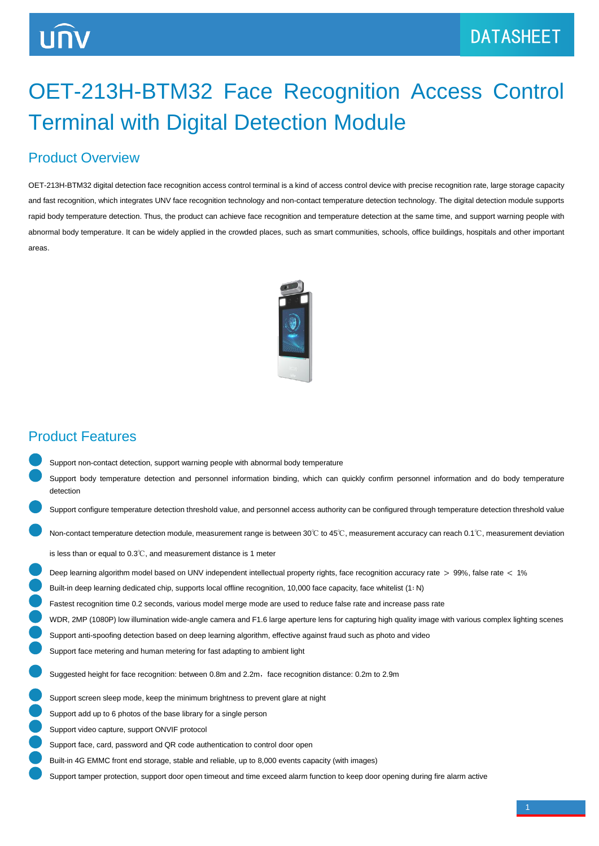# OET-213H-BTM32 Face Recognition Access Control Terminal with Digital Detection Module

#### Product Overview

OET-213H-BTM32 digital detection face recognition access control terminal is a kind of access control device with precise recognition rate, large storage capacity and fast recognition, which integrates UNV face recognition technology and non-contact temperature detection technology. The digital detection module supports rapid body temperature detection. Thus, the product can achieve face recognition and temperature detection at the same time, and support warning people with abnormal body temperature. It can be widely applied in the crowded places, such as smart communities, schools, office buildings, hospitals and other important areas.



#### Product Features

- Support non-contact detection, support warning people with abnormal body temperature Support body temperature detection and personnel information binding, which can quickly confirm personnel information and do body temperature detection
- Support configure temperature detection threshold value, and personnel access authority can be configured through temperature detection threshold value
	- Non-contact temperature detection module, measurement range is between 30℃ to 45℃, measurement accuracy can reach 0.1℃, measurement deviation

is less than or equal to 0.3℃, and measurement distance is 1 meter

- Deep learning algorithm model based on UNV independent intellectual property rights, face recognition accuracy rate > 99%, false rate < 1%
- Built-in deep learning dedicated chip, supports local offline recognition, 10,000 face capacity, face whitelist (1∶ N)

Fastest recognition time 0.2 seconds, various model merge mode are used to reduce false rate and increase pass rate

- WDR, 2MP (1080P) low illumination wide-angle camera and F1.6 large aperture lens for capturing high quality image with various complex lighting scenes
- Support anti-spoofing detection based on deep learning algorithm, effective against fraud such as photo and video
- Support face metering and human metering for fast adapting to ambient light

Suggested height for face recognition: between 0.8m and 2.2m, face recognition distance: 0.2m to 2.9m

- Support screen sleep mode, keep the minimum brightness to prevent glare at night
- Support add up to 6 photos of the base library for a single person
- Support video capture, support ONVIF protocol
- Support face, card, password and QR code authentication to control door open
- Built-in 4G EMMC front end storage, stable and reliable, up to 8,000 events capacity (with images)
- Support tamper protection, support door open timeout and time exceed alarm function to keep door opening during fire alarm active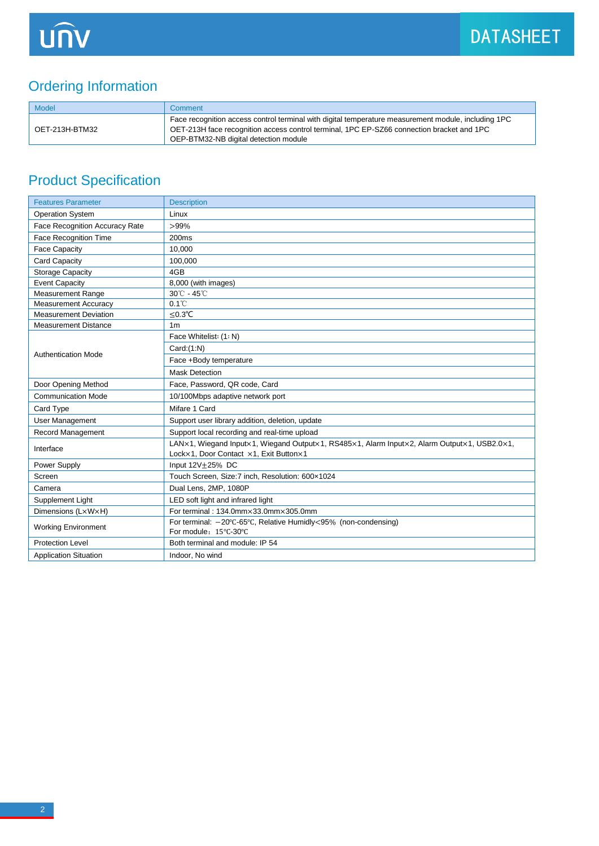### Ordering Information

| <b>Model</b>   | Comment                                                                                                                                                                                                                                   |
|----------------|-------------------------------------------------------------------------------------------------------------------------------------------------------------------------------------------------------------------------------------------|
| OET-213H-BTM32 | Face recognition access control terminal with digital temperature measurement module, including 1PC<br>OET-213H face recognition access control terminal, 1PC EP-SZ66 connection bracket and 1PC<br>OEP-BTM32-NB digital detection module |

## Product Specification

| <b>Features Parameter</b>      | <b>Description</b>                                                                                                                    |
|--------------------------------|---------------------------------------------------------------------------------------------------------------------------------------|
| <b>Operation System</b>        | Linux                                                                                                                                 |
| Face Recognition Accuracy Rate | $>99\%$                                                                                                                               |
| Face Recognition Time          | 200 <sub>ms</sub>                                                                                                                     |
| <b>Face Capacity</b>           | 10.000                                                                                                                                |
| <b>Card Capacity</b>           | 100,000                                                                                                                               |
| <b>Storage Capacity</b>        | 4GB                                                                                                                                   |
| <b>Event Capacity</b>          | 8,000 (with images)                                                                                                                   |
| <b>Measurement Range</b>       | 30℃ - 45℃                                                                                                                             |
| <b>Measurement Accuracy</b>    | $0.1^{\circ}$ C                                                                                                                       |
| <b>Measurement Deviation</b>   | $≤0.3$ °C                                                                                                                             |
| <b>Measurement Distance</b>    | 1 <sub>m</sub>                                                                                                                        |
| <b>Authentication Mode</b>     | Face Whitelist: (1: N)                                                                                                                |
|                                | Card:(1:N)                                                                                                                            |
|                                | Face +Body temperature                                                                                                                |
|                                | <b>Mask Detection</b>                                                                                                                 |
| Door Opening Method            | Face, Password, QR code, Card                                                                                                         |
| <b>Communication Mode</b>      | 10/100Mbps adaptive network port                                                                                                      |
| Card Type                      | Mifare 1 Card                                                                                                                         |
| User Management                | Support user library addition, deletion, update                                                                                       |
| Record Management              | Support local recording and real-time upload                                                                                          |
| Interface                      | LAN×1, Wiegand Input×1, Wiegand Output×1, RS485×1, Alarm Input×2, Alarm Output×1, USB2.0×1,<br>Lock×1, Door Contact ×1, Exit Button×1 |
| Power Supply                   | Input $12V + 25%$ DC                                                                                                                  |
| Screen                         | Touch Screen, Size: 7 inch, Resolution: 600x1024                                                                                      |
| Camera                         | Dual Lens, 2MP, 1080P                                                                                                                 |
| Supplement Light               | LED soft light and infrared light                                                                                                     |
| Dimensions (LxWxH)             | For terminal: 134.0mm×33.0mm×305.0mm                                                                                                  |
| <b>Working Environment</b>     | For terminal: -20°C-65°C, Relative Humidly<95% (non-condensing)<br>For module: 15°C-30°C                                              |
| <b>Protection Level</b>        | Both terminal and module: IP 54                                                                                                       |
| <b>Application Situation</b>   | Indoor, No wind                                                                                                                       |
|                                |                                                                                                                                       |